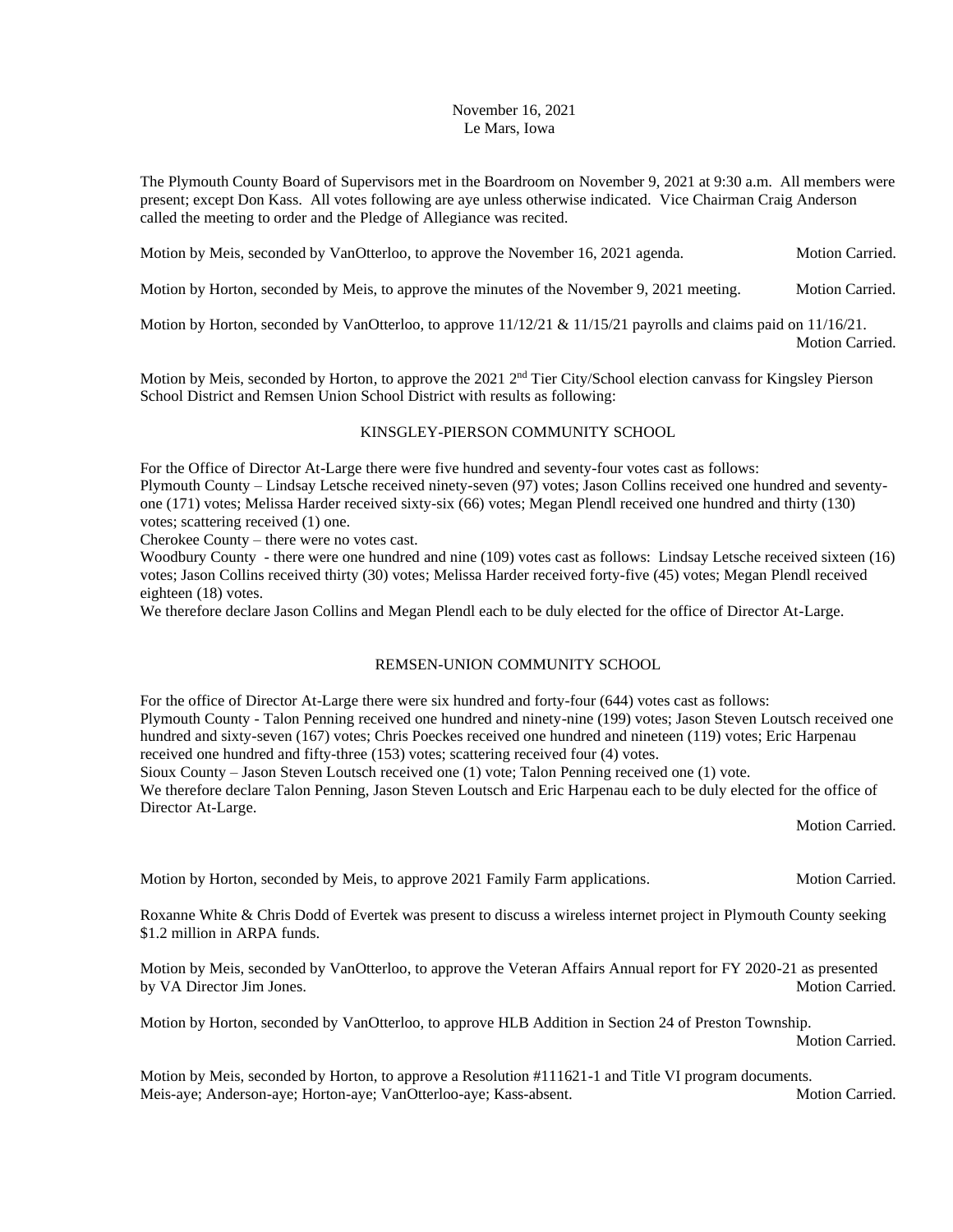## November 16, 2021 Le Mars, Iowa

The Plymouth County Board of Supervisors met in the Boardroom on November 9, 2021 at 9:30 a.m. All members were present; except Don Kass. All votes following are aye unless otherwise indicated. Vice Chairman Craig Anderson called the meeting to order and the Pledge of Allegiance was recited.

Motion by Meis, seconded by VanOtterloo, to approve the November 16, 2021 agenda. Motion Carried.

Motion by Horton, seconded by Meis, to approve the minutes of the November 9, 2021 meeting. Motion Carried.

Motion by Horton, seconded by VanOtterloo, to approve  $11/12/21 \& 11/15/21$  payrolls and claims paid on  $11/16/21$ . Motion Carried.

Motion by Meis, seconded by Horton, to approve the  $2021$   $2<sup>nd</sup>$  Tier City/School election canvass for Kingsley Pierson School District and Remsen Union School District with results as following:

## KINSGLEY-PIERSON COMMUNITY SCHOOL

For the Office of Director At-Large there were five hundred and seventy-four votes cast as follows: Plymouth County – Lindsay Letsche received ninety-seven (97) votes; Jason Collins received one hundred and seventyone (171) votes; Melissa Harder received sixty-six (66) votes; Megan Plendl received one hundred and thirty (130) votes; scattering received (1) one.

Cherokee County – there were no votes cast.

Woodbury County - there were one hundred and nine (109) votes cast as follows: Lindsay Letsche received sixteen (16) votes; Jason Collins received thirty (30) votes; Melissa Harder received forty-five (45) votes; Megan Plendl received eighteen (18) votes.

We therefore declare Jason Collins and Megan Plendl each to be duly elected for the office of Director At-Large.

## REMSEN-UNION COMMUNITY SCHOOL

For the office of Director At-Large there were six hundred and forty-four (644) votes cast as follows: Plymouth County - Talon Penning received one hundred and ninety-nine (199) votes; Jason Steven Loutsch received one hundred and sixty-seven (167) votes; Chris Poeckes received one hundred and nineteen (119) votes; Eric Harpenau received one hundred and fifty-three (153) votes; scattering received four (4) votes.

Sioux County – Jason Steven Loutsch received one (1) vote; Talon Penning received one (1) vote.

We therefore declare Talon Penning, Jason Steven Loutsch and Eric Harpenau each to be duly elected for the office of Director At-Large.

Motion Carried.

Motion by Horton, seconded by Meis, to approve 2021 Family Farm applications. Motion Carried.

Roxanne White & Chris Dodd of Evertek was present to discuss a wireless internet project in Plymouth County seeking \$1.2 million in ARPA funds.

Motion by Meis, seconded by VanOtterloo, to approve the Veteran Affairs Annual report for FY 2020-21 as presented by VA Director Jim Jones. Motion Carried.

Motion by Horton, seconded by VanOtterloo, to approve HLB Addition in Section 24 of Preston Township.

Motion Carried.

Motion by Meis, seconded by Horton, to approve a Resolution #111621-1 and Title VI program documents. Meis-aye; Anderson-aye; Horton-aye; VanOtterloo-aye; Kass-absent. Motion Carried. Motion Carried.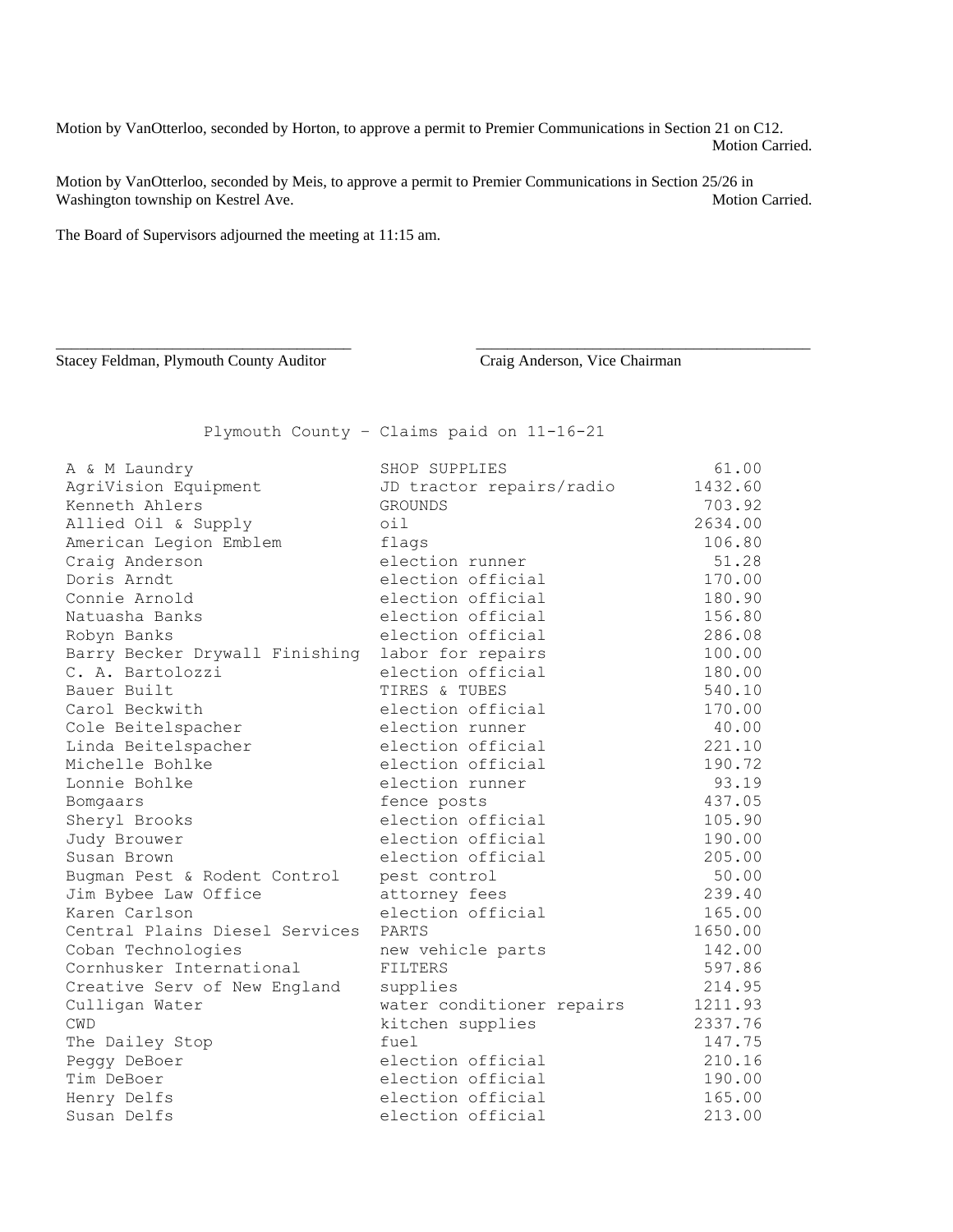Motion by VanOtterloo, seconded by Horton, to approve a permit to Premier Communications in Section 21 on C12. Motion Carried.

Motion by VanOtterloo, seconded by Meis, to approve a permit to Premier Communications in Section 25/26 in Washington township on Kestrel Ave. Motion Carried. Motion Carried.

\_\_\_\_\_\_\_\_\_\_\_\_\_\_\_\_\_\_\_\_\_\_\_\_\_\_\_\_\_\_\_\_\_\_\_\_\_\_ \_\_\_\_\_\_\_\_\_\_\_\_\_\_\_\_\_\_\_\_\_\_\_\_\_\_\_\_\_\_\_\_\_\_\_\_\_\_\_\_\_\_\_

The Board of Supervisors adjourned the meeting at 11:15 am.

Stacey Feldman, Plymouth County Auditor Craig Anderson, Vice Chairman

Plymouth County – Claims paid on 11-16-21

| A & M Laundry                  | SHOP SUPPLIES             | 61.00   |
|--------------------------------|---------------------------|---------|
| AgriVision Equipment           | JD tractor repairs/radio  | 1432.60 |
| Kenneth Ahlers                 | GROUNDS                   | 703.92  |
| Allied Oil & Supply            | $\circ$ il                | 2634.00 |
| American Legion Emblem         | flags                     | 106.80  |
| Craig Anderson                 | election runner           | 51.28   |
| Doris Arndt                    | election official         | 170.00  |
| Connie Arnold                  | election official         | 180.90  |
| Natuasha Banks                 | election official         | 156.80  |
| Robyn Banks                    | election official         | 286.08  |
| Barry Becker Drywall Finishing | labor for repairs         | 100.00  |
| C. A. Bartolozzi               | election official         | 180.00  |
| Bauer Built                    | TIRES & TUBES             | 540.10  |
| Carol Beckwith                 | election official         | 170.00  |
| Cole Beitelspacher             | election runner           | 40.00   |
| Linda Beitelspacher            | election official         | 221.10  |
| Michelle Bohlke                | election official         | 190.72  |
| Lonnie Bohlke                  | election runner           | 93.19   |
| Bomgaars                       | fence posts               | 437.05  |
| Sheryl Brooks                  | election official         | 105.90  |
| Judy Brouwer                   | election official         | 190.00  |
| Susan Brown                    | election official         | 205.00  |
| Bugman Pest & Rodent Control   | pest control              | 50.00   |
| Jim Bybee Law Office           | attorney fees             | 239.40  |
| Karen Carlson                  | election official         | 165.00  |
| Central Plains Diesel Services | PARTS                     | 1650.00 |
| Coban Technologies             | new vehicle parts         | 142.00  |
| Cornhusker International       | <b>FILTERS</b>            | 597.86  |
| Creative Serv of New England   | supplies                  | 214.95  |
| Culligan Water                 | water conditioner repairs | 1211.93 |
| <b>CWD</b>                     | kitchen supplies          | 2337.76 |
| The Dailey Stop                | fuel                      | 147.75  |
| Peggy DeBoer                   | election official         | 210.16  |
| Tim DeBoer                     | election official         | 190.00  |
| Henry Delfs                    | election official         | 165.00  |
| Susan Delfs                    | election official         | 213.00  |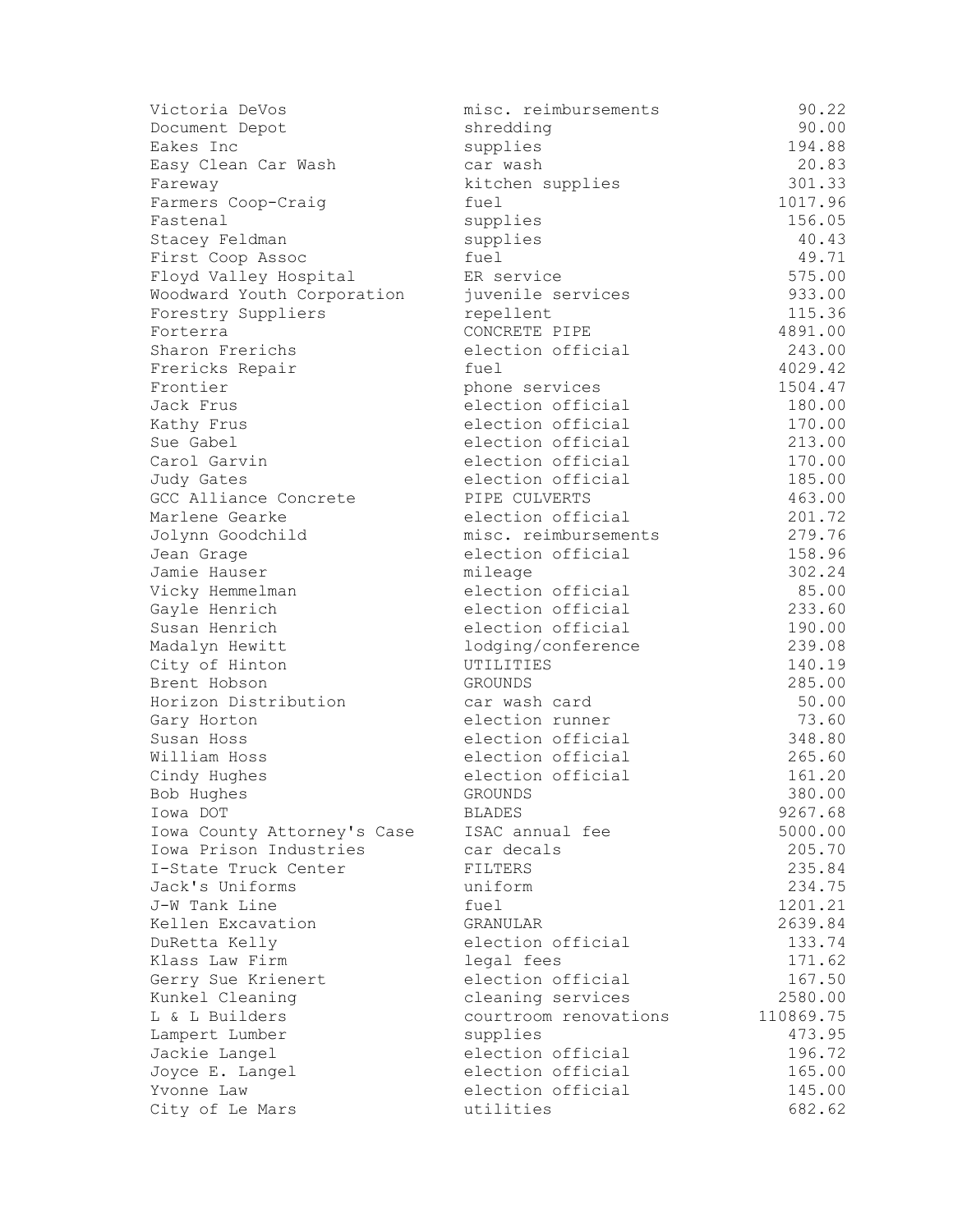| Victoria DeVos              | misc. reimbursements  | 90.22     |
|-----------------------------|-----------------------|-----------|
| Document Depot              | shredding             | 90.00     |
| Eakes Inc                   | supplies              | 194.88    |
| Easy Clean Car Wash         | car wash              | 20.83     |
| Fareway                     | kitchen supplies      | 301.33    |
| Farmers Coop-Craig          | fuel                  | 1017.96   |
| Fastenal                    | supplies              | 156.05    |
| Stacey Feldman              | supplies              | 40.43     |
| First Coop Assoc            | fuel                  | 49.71     |
| Floyd Valley Hospital       | ER service            | 575.00    |
| Woodward Youth Corporation  | juvenile services     | 933.00    |
| Forestry Suppliers          | repellent             | 115.36    |
| Forterra                    | CONCRETE PIPE         | 4891.00   |
| Sharon Frerichs             | election official     | 243.00    |
| Frericks Repair             | fuel                  | 4029.42   |
| Frontier                    | phone services        | 1504.47   |
| Jack Frus                   | election official     | 180.00    |
| Kathy Frus                  | election official     | 170.00    |
| Sue Gabel                   | election official     | 213.00    |
| Carol Garvin                | election official     | 170.00    |
| Judy Gates                  | election official     | 185.00    |
| GCC Alliance Concrete       | PIPE CULVERTS         | 463.00    |
| Marlene Gearke              | election official     | 201.72    |
| Jolynn Goodchild            | misc. reimbursements  | 279.76    |
| Jean Grage                  | election official     | 158.96    |
| Jamie Hauser                | mileage               | 302.24    |
| Vicky Hemmelman             | election official     | 85.00     |
| Gayle Henrich               | election official     | 233.60    |
| Susan Henrich               | election official     | 190.00    |
| Madalyn Hewitt              | lodging/conference    | 239.08    |
| City of Hinton              | UTILITIES             | 140.19    |
| Brent Hobson                | GROUNDS               | 285.00    |
| Horizon Distribution        | car wash card         | 50.00     |
| Gary Horton                 | election runner       | 73.60     |
| Susan Hoss                  | election official     | 348.80    |
| William Hoss                | election official     | 265.60    |
| Cindy Hughes                | election official     | 161.20    |
| Bob Hughes                  | <b>GROUNDS</b>        | 380.00    |
| Iowa DOT                    | <b>BLADES</b>         | 9267.68   |
| Iowa County Attorney's Case | ISAC annual fee       | 5000.00   |
| Iowa Prison Industries      | car decals            | 205.70    |
| I-State Truck Center        | <b>FILTERS</b>        | 235.84    |
| Jack's Uniforms             | uniform               | 234.75    |
| J-W Tank Line               | fuel                  | 1201.21   |
| Kellen Excavation           | <b>GRANULAR</b>       | 2639.84   |
| DuRetta Kelly               | election official     | 133.74    |
| Klass Law Firm              | legal fees            | 171.62    |
| Gerry Sue Krienert          | election official     | 167.50    |
|                             |                       |           |
| Kunkel Cleaning             | cleaning services     | 2580.00   |
| L & L Builders              | courtroom renovations | 110869.75 |
| Lampert Lumber              | supplies              | 473.95    |
| Jackie Langel               | election official     | 196.72    |
| Joyce E. Langel             | election official     | 165.00    |
| Yvonne Law                  | election official     | 145.00    |
| City of Le Mars             | utilities             | 682.62    |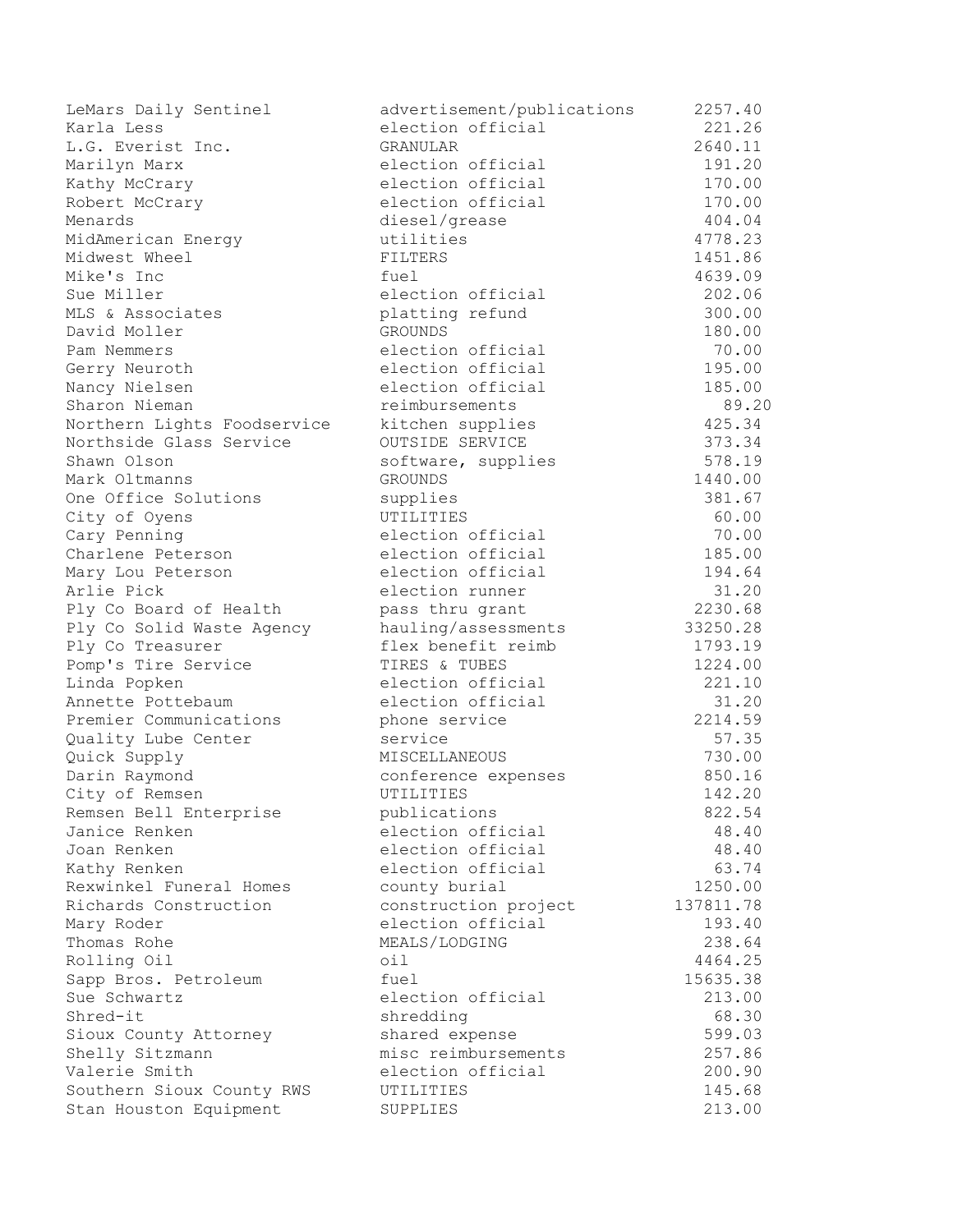LeMars Daily Sentinel advertisement/publications 2257.40 Karla Less **Exercicial** Carlo election official 221.26 L.G. Everist Inc. GRANULAR 2640.11 Marilyn Marx election official 191.20 Kathy McCrary **Example 170.00** election official 170.00 Robert McCrary **Example 170.00** election official 170.00 Menards diesel/grease 404.04 MidAmerican Energy utilities 4778.23 Midwest Wheel **FILTERS** FILTERS 2451.86 Mike's Inc **and African Contract Contract Contract Contract Contract Contract Contract Contract Contract Contract Contract Contract Africa Africa Africa Africa Africa Africa Africa Africa Africa Africa Africa Africa Africa** Sue Miller **Election official** 202.06 MLS & Associates platting refund 300.00 David Moller GROUNDS 180.00 Pam Nemmers **Election** official 70.00 Gerry Neuroth **Exercise Election official** 195.00 Nancy Nielsen election official 185.00 Sharon Nieman reimbursements 89.20 Northern Lights Foodservice kitchen supplies 425.34 Northside Glass Service OUTSIDE SERVICE 373.34 Shawn Olson Shawn Olson Shawn Olson Stephen Shawn Stephen Stephen Stephen Stephen Stephen Stephen Stephen Stephen Stephen Stephen Stephen Stephen Stephen Stephen Stephen Stephen Stephen Stephen Stephen Stephen Stephen Step Mark Oltmanns GROUNDS 1440.00 One Office Solutions supplies 381.67 City of Oyens UTILITIES 60.00 Cary Penning and The election official 70.00 Charlene Peterson election official 185.00 Mary Lou Peterson election official 194.64 Arlie Pick and the election runner and the set of  $31.20$ Ply Co Board of Health pass thru grant 2230.68 Ply Co Solid Waste Agency hauling/assessments 33250.28 Ply Co Treasurer **Flex benefit reimb** 1793.19 Pomp's Tire Service TIRES & TUBES 1224.00 Linda Popken election official 221.10 Annette Pottebaum and the election official and the 31.20 Premier Communications bhone service 2214.59 Quality Lube Center Service 37.35 Quick Supply MISCELLANEOUS 730.00 Darin Raymond **Conference expenses** 850.16 City of Remsen UTILITIES 142.20 Remsen Bell Enterprise **publications** 822.54 Janice Renken election official 48.40 Joan Renken election official 48.40 Kathy Renken election official 63.74 Rexwinkel Funeral Homes county burial 1250.00 Richards Construction construction project 137811.78 Mary Roder **Example 2** election official 193.40 Thomas Rohe **MEALS/LODGING** 238.64 Rolling Oil and the contract of the contract of the contract of the contract of the contract of the contract o Sapp Bros. Petroleum fuel the fuel 15635.38 Sue Schwartz election official 213.00 Shred-it shredding 58.30 Sioux County Attorney **Shared expense** 599.03 Shelly Sitzmann and Monte misc reimbursements 257.86 Valerie Smith election official 200.90 Southern Sioux County RWS UTILITIES 145.68 Stan Houston Equipment SUPPLIES 313.00